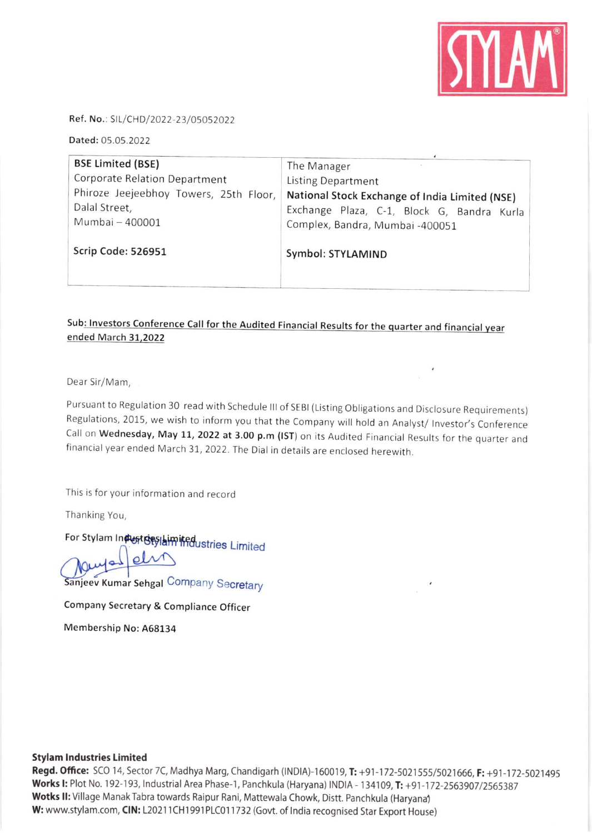

Ref. No.: SIL/CHD/2022-23/05052022

Dated: 05.05.2022

| <b>BSE Limited (BSE)</b>               | The Manager                                    |
|----------------------------------------|------------------------------------------------|
| Corporate Relation Department          | <b>Listing Department</b>                      |
| Phiroze Jeejeebhoy Towers, 25th Floor, | National Stock Exchange of India Limited (NSE) |
| Dalal Street,                          | Exchange Plaza, C-1, Block G, Bandra Kurla     |
| Mumbai - 400001                        | Complex, Bandra, Mumbai -400051                |
| Scrip Code: 526951                     | Symbol: STYLAMIND                              |

#### Sub: Investors Conference Call for the Audited Financial Results for the quarter and financial year ended March 31,2022

Dear Sir/Mam,

Pursuant to Regulation 30 read with Schedule III of SEBI (Listing Obligations and Disclosure Requirements) Regulations, 2015, we wish to inform you that the Company will hold an Analyst/ Investor's Conference Call on Wednesday, May 11, 2022 at 3.00 p.m (IST) on its Audited Financial Results for the quarter and financial year ended March 31, 2022. The Dial in details are enclosed herewith.

This is for your information and record

Thanking You,

For Stylam Industries limited ustries Limited

Sanjeev Kumar Sehgal Company Secretary

Company Secretary & Compliance Officer

Membership No: A68134

#### Stylam Industries Limited

Regd. Office: SCO 14, Sector 7C, Madhya Marg, Chandigarh (INDIA)-160019, T: +91-172-5021555/5021666, F: +91-172-5021495 Works I: Plot No. 192-193, Industrial Area Phase-1, Panchkula (Haryana) INDIA - 134109, T: +91-172-2563907/2565387 Wotks II: Village Manak Tabra towards Raipur Rani, Mattewala Chowk, Distt. Panchkula (Haryana) W: www.stylam.com, CIN: L20211CH1991PLC011732 (Govt. of India recognised Star Export House)